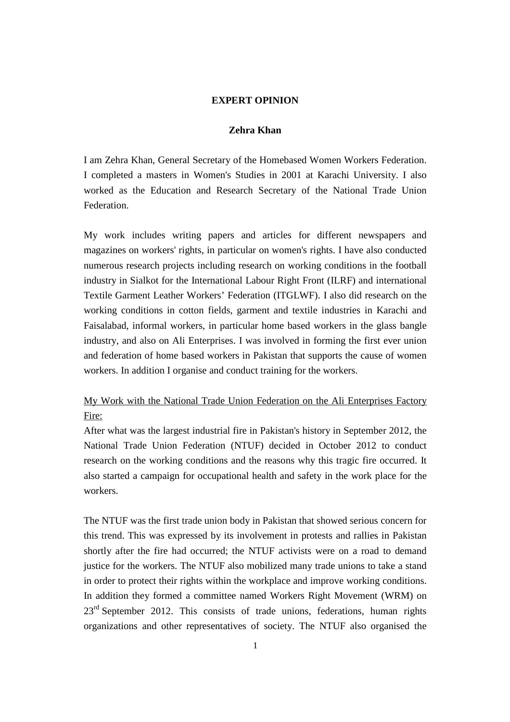# **EXPERT OPINION**

# **Zehra Khan**

I am Zehra Khan, General Secretary of the Homebased Women Workers Federation. I completed a masters in Women's Studies in 2001 at Karachi University. I also worked as the Education and Research Secretary of the National Trade Union **Federation** 

My work includes writing papers and articles for different newspapers and magazines on workers' rights, in particular on women's rights. I have also conducted numerous research projects including research on working conditions in the football industry in Sialkot for the International Labour Right Front (ILRF) and international Textile Garment Leather Workers' Federation (ITGLWF). I also did research on the working conditions in cotton fields, garment and textile industries in Karachi and Faisalabad, informal workers, in particular home based workers in the glass bangle industry, and also on Ali Enterprises. I was involved in forming the first ever union and federation of home based workers in Pakistan that supports the cause of women workers. In addition I organise and conduct training for the workers.

# My Work with the National Trade Union Federation on the Ali Enterprises Factory Fire:

After what was the largest industrial fire in Pakistan's history in September 2012, the National Trade Union Federation (NTUF) decided in October 2012 to conduct research on the working conditions and the reasons why this tragic fire occurred. It also started a campaign for occupational health and safety in the work place for the workers.

The NTUF was the first trade union body in Pakistan that showed serious concern for this trend. This was expressed by its involvement in protests and rallies in Pakistan shortly after the fire had occurred; the NTUF activists were on a road to demand justice for the workers. The NTUF also mobilized many trade unions to take a stand in order to protect their rights within the workplace and improve working conditions. In addition they formed a committee named Workers Right Movement (WRM) on  $23<sup>rd</sup>$  September 2012. This consists of trade unions, federations, human rights organizations and other representatives of society. The NTUF also organised the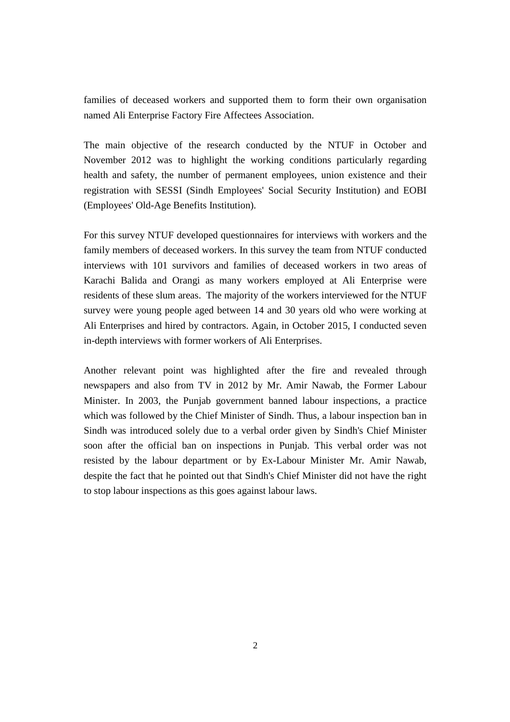families of deceased workers and supported them to form their own organisation named Ali Enterprise Factory Fire Affectees Association.

The main objective of the research conducted by the NTUF in October and November 2012 was to highlight the working conditions particularly regarding health and safety, the number of permanent employees, union existence and their registration with SESSI (Sindh Employees' Social Security Institution) and EOBI (Employees' Old-Age Benefits Institution).

For this survey NTUF developed questionnaires for interviews with workers and the family members of deceased workers. In this survey the team from NTUF conducted interviews with 101 survivors and families of deceased workers in two areas of Karachi Balida and Orangi as many workers employed at Ali Enterprise were residents of these slum areas. The majority of the workers interviewed for the NTUF survey were young people aged between 14 and 30 years old who were working at Ali Enterprises and hired by contractors. Again, in October 2015, I conducted seven in-depth interviews with former workers of Ali Enterprises.

Another relevant point was highlighted after the fire and revealed through newspapers and also from TV in 2012 by Mr. Amir Nawab, the Former Labour Minister. In 2003, the Punjab government banned labour inspections, a practice which was followed by the Chief Minister of Sindh. Thus, a labour inspection ban in Sindh was introduced solely due to a verbal order given by Sindh's Chief Minister soon after the official ban on inspections in Punjab. This verbal order was not resisted by the labour department or by Ex-Labour Minister Mr. Amir Nawab, despite the fact that he pointed out that Sindh's Chief Minister did not have the right to stop labour inspections as this goes against labour laws.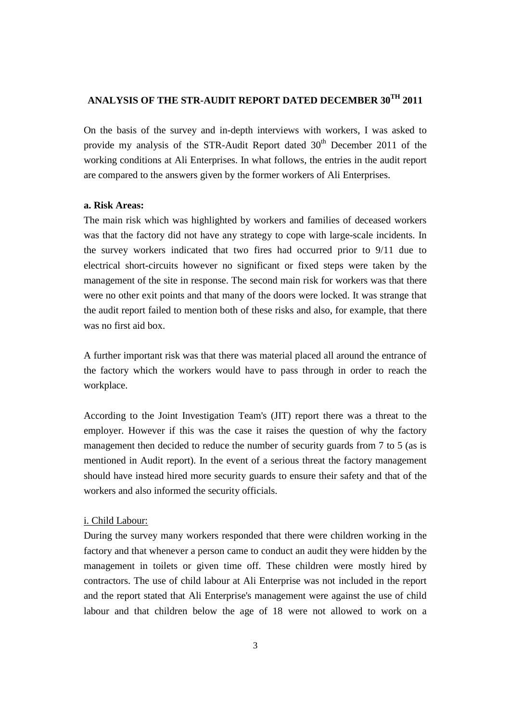# **ANALYSIS OF THE STR-AUDIT REPORT DATED DECEMBER 30TH 2011**

On the basis of the survey and in-depth interviews with workers, I was asked to provide my analysis of the STR-Audit Report dated  $30<sup>th</sup>$  December 2011 of the working conditions at Ali Enterprises. In what follows, the entries in the audit report are compared to the answers given by the former workers of Ali Enterprises.

#### **a. Risk Areas:**

The main risk which was highlighted by workers and families of deceased workers was that the factory did not have any strategy to cope with large-scale incidents. In the survey workers indicated that two fires had occurred prior to 9/11 due to electrical short-circuits however no significant or fixed steps were taken by the management of the site in response. The second main risk for workers was that there were no other exit points and that many of the doors were locked. It was strange that the audit report failed to mention both of these risks and also, for example, that there was no first aid box.

A further important risk was that there was material placed all around the entrance of the factory which the workers would have to pass through in order to reach the workplace.

According to the Joint Investigation Team's (JIT) report there was a threat to the employer. However if this was the case it raises the question of why the factory management then decided to reduce the number of security guards from 7 to 5 (as is mentioned in Audit report). In the event of a serious threat the factory management should have instead hired more security guards to ensure their safety and that of the workers and also informed the security officials.

## i. Child Labour:

During the survey many workers responded that there were children working in the factory and that whenever a person came to conduct an audit they were hidden by the management in toilets or given time off. These children were mostly hired by contractors. The use of child labour at Ali Enterprise was not included in the report and the report stated that Ali Enterprise's management were against the use of child labour and that children below the age of 18 were not allowed to work on a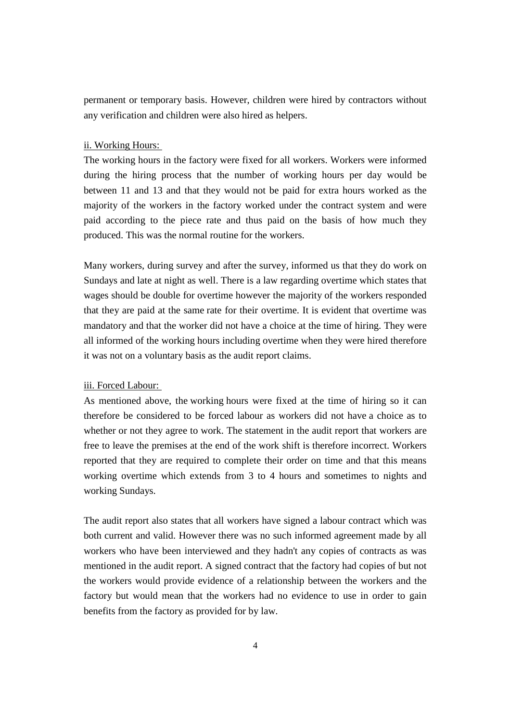permanent or temporary basis. However, children were hired by contractors without any verification and children were also hired as helpers.

# ii. Working Hours:

The working hours in the factory were fixed for all workers. Workers were informed during the hiring process that the number of working hours per day would be between 11 and 13 and that they would not be paid for extra hours worked as the majority of the workers in the factory worked under the contract system and were paid according to the piece rate and thus paid on the basis of how much they produced. This was the normal routine for the workers.

Many workers, during survey and after the survey, informed us that they do work on Sundays and late at night as well. There is a law regarding overtime which states that wages should be double for overtime however the majority of the workers responded that they are paid at the same rate for their overtime. It is evident that overtime was mandatory and that the worker did not have a choice at the time of hiring. They were all informed of the working hours including overtime when they were hired therefore it was not on a voluntary basis as the audit report claims.

## iii. Forced Labour:

As mentioned above, the working hours were fixed at the time of hiring so it can therefore be considered to be forced labour as workers did not have a choice as to whether or not they agree to work. The statement in the audit report that workers are free to leave the premises at the end of the work shift is therefore incorrect. Workers reported that they are required to complete their order on time and that this means working overtime which extends from 3 to 4 hours and sometimes to nights and working Sundays.

The audit report also states that all workers have signed a labour contract which was both current and valid. However there was no such informed agreement made by all workers who have been interviewed and they hadn't any copies of contracts as was mentioned in the audit report. A signed contract that the factory had copies of but not the workers would provide evidence of a relationship between the workers and the factory but would mean that the workers had no evidence to use in order to gain benefits from the factory as provided for by law.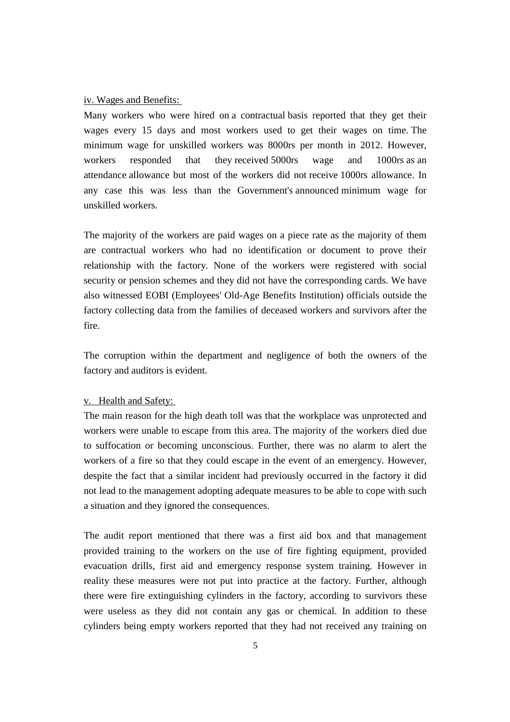#### iv. Wages and Benefits:

Many workers who were hired on a contractual basis reported that they get their wages every 15 days and most workers used to get their wages on time. The minimum wage for unskilled workers was 8000rs per month in 2012. However, workers responded that they received 5000rs wage and 1000rs as an attendance allowance but most of the workers did not receive 1000rs allowance. In any case this was less than the Government's announced minimum wage for unskilled workers.

The majority of the workers are paid wages on a piece rate as the majority of them are contractual workers who had no identification or document to prove their relationship with the factory. None of the workers were registered with social security or pension schemes and they did not have the corresponding cards. We have also witnessed EOBI (Employees' Old-Age Benefits Institution) officials outside the factory collecting data from the families of deceased workers and survivors after the fire.

The corruption within the department and negligence of both the owners of the factory and auditors is evident.

## v. Health and Safety:

The main reason for the high death toll was that the workplace was unprotected and workers were unable to escape from this area. The majority of the workers died due to suffocation or becoming unconscious. Further, there was no alarm to alert the workers of a fire so that they could escape in the event of an emergency. However, despite the fact that a similar incident had previously occurred in the factory it did not lead to the management adopting adequate measures to be able to cope with such a situation and they ignored the consequences.

The audit report mentioned that there was a first aid box and that management provided training to the workers on the use of fire fighting equipment, provided evacuation drills, first aid and emergency response system training. However in reality these measures were not put into practice at the factory. Further, although there were fire extinguishing cylinders in the factory, according to survivors these were useless as they did not contain any gas or chemical. In addition to these cylinders being empty workers reported that they had not received any training on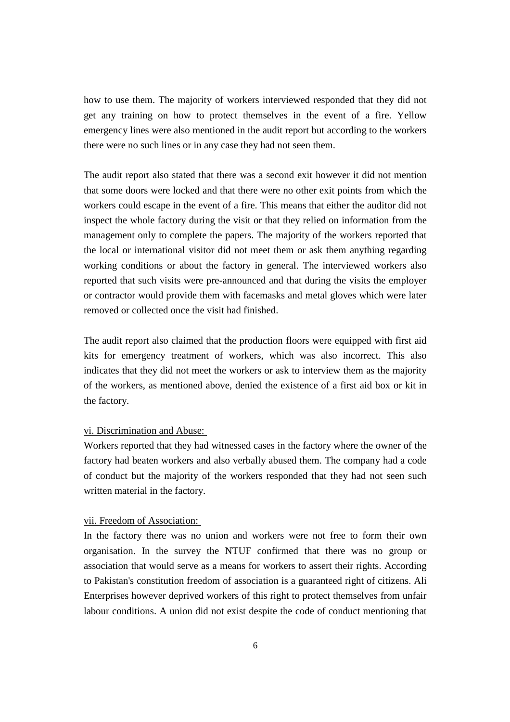how to use them. The majority of workers interviewed responded that they did not get any training on how to protect themselves in the event of a fire. Yellow emergency lines were also mentioned in the audit report but according to the workers there were no such lines or in any case they had not seen them.

The audit report also stated that there was a second exit however it did not mention that some doors were locked and that there were no other exit points from which the workers could escape in the event of a fire. This means that either the auditor did not inspect the whole factory during the visit or that they relied on information from the management only to complete the papers. The majority of the workers reported that the local or international visitor did not meet them or ask them anything regarding working conditions or about the factory in general. The interviewed workers also reported that such visits were pre-announced and that during the visits the employer or contractor would provide them with facemasks and metal gloves which were later removed or collected once the visit had finished.

The audit report also claimed that the production floors were equipped with first aid kits for emergency treatment of workers, which was also incorrect. This also indicates that they did not meet the workers or ask to interview them as the majority of the workers, as mentioned above, denied the existence of a first aid box or kit in the factory.

#### vi. Discrimination and Abuse:

Workers reported that they had witnessed cases in the factory where the owner of the factory had beaten workers and also verbally abused them. The company had a code of conduct but the majority of the workers responded that they had not seen such written material in the factory.

#### vii. Freedom of Association:

In the factory there was no union and workers were not free to form their own organisation. In the survey the NTUF confirmed that there was no group or association that would serve as a means for workers to assert their rights. According to Pakistan's constitution freedom of association is a guaranteed right of citizens. Ali Enterprises however deprived workers of this right to protect themselves from unfair labour conditions. A union did not exist despite the code of conduct mentioning that